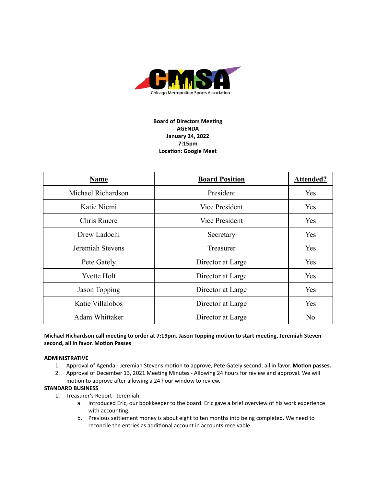

# **Board of Directors Meeting AGENDA January 24, 2022 7:15pm Location: Google Meet**

| <b>Name</b>        | <b>Board Position</b> | <b>Attended?</b> |
|--------------------|-----------------------|------------------|
| Michael Richardson | President             | Yes              |
| Katie Niemi        | <b>Vice President</b> | Yes              |
| Chris Rinere       | <b>Vice President</b> | Yes              |
| Drew Ladochi       | Secretary             | Yes              |
| Jeremiah Stevens   | Treasurer             | Yes              |
| Pete Gately        | Director at Large     | Yes              |
| <b>Yvette Holt</b> | Director at Large     | Yes              |
| Jason Topping      | Director at Large     | Yes              |
| Katie Villalobos   | Director at Large     | Yes              |
| Adam Whittaker     | Director at Large     | No               |

## **Michael Richardson call meeng to order at 7:19pm. Jason Topping moon to start meeng, Jeremiah Steven second, all in favor. Moon Passes**

### **ADMINISTRATIVE**

- 1. Approval of Agenda Jeremiah Stevens motion to approve, Pete Gately second, all in favor. Motion passes.
- 2. Approval of December 13, 2021 Meeting Minutes Allowing 24 hours for review and approval. We will motion to approve after allowing a 24 hour window to review.

### **STANDARD BUSINESS**

- 1. Treasurer's Report Jeremiah
	- a. Introduced Eric, our bookkeeper to the board. Eric gave a brief overview of his work experience with accounting.
	- b. Previous settlement money is about eight to ten months into being completed. We need to reconcile the entries as additional account in accounts receivable.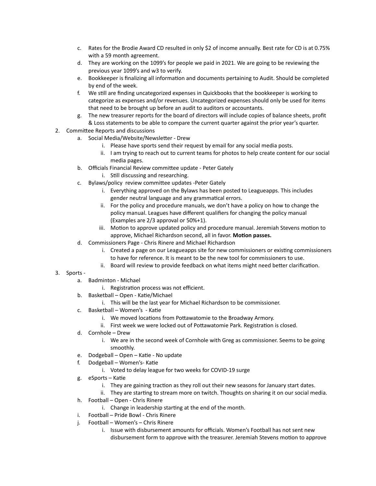- c. Rates for the Brodie Award CD resulted in only \$2 of income annually. Best rate for CD is at 0.75% with a 59 month agreement.
- d. They are working on the 1099's for people we paid in 2021. We are going to be reviewing the previous year 1099's and w3 to verify.
- e. Bookkeeper is finalizing all information and documents pertaining to Audit. Should be completed by end of the week.
- f. We still are finding uncategorized expenses in Quickbooks that the bookkeeper is working to categorize as expenses and/or revenues. Uncategorized expenses should only be used for items that need to be brought up before an audit to auditors or accountants.
- g. The new treasurer reports for the board of directors will include copies of balance sheets, profit & Loss statements to be able to compare the current quarter against the prior year's quarter.
- 2. Committee Reports and discussions
	- a. Social Media/Website/Newsletter Drew
		- i. Please have sports send their request by email for any social media posts.
		- ii. I am trying to reach out to current teams for photos to help create content for our social media pages.
	- b. Officials Financial Review committee update Peter Gately
		- i. Still discussing and researching.
	- c. Bylaws/policy review committee updates -Peter Gately
		- i. Everything approved on the Bylaws has been posted to Leagueapps. This includes gender neutral language and any grammatical errors.
		- ii. For the policy and procedure manuals, we don't have a policy on how to change the policy manual. Leagues have different qualifiers for changing the policy manual (Examples are 2/3 approval or 50%+1).
		- iii. Motion to approve updated policy and procedure manual. Jeremiah Stevens motion to approve, Michael Richardson second, all in favor. Motion passes.
	- d. Commissioners Page Chris Rinere and Michael Richardson
		- i. Created a page on our Leagueapps site for new commissioners or existing commissioners to have for reference. It is meant to be the new tool for commissioners to use.
		- ii. Board will review to provide feedback on what items might need better clarification.

# 3. Sports -

- a. Badminton Michael
	- i. Registration process was not efficient.
- b. Basketball Open Katie/Michael
	- i. This will be the last year for Michael Richardson to be commissioner.
- c. Basketball Women's Katie
	- i. We moved locations from Pottawatomie to the Broadway Armory.
	- ii. First week we were locked out of Pottawatomie Park. Registration is closed.
- d. Cornhole Drew
	- i. We are in the second week of Cornhole with Greg as commissioner. Seems to be going smoothly.
- e. Dodgeball Open Katie No update
- f. Dodgeball Women's- Katie
	- i. Voted to delay league for two weeks for COVID-19 surge
- g. eSports Katie
	- i. They are gaining traction as they roll out their new seasons for January start dates.
	- ii. They are starting to stream more on twitch. Thoughts on sharing it on our social media.
- h. Football Open Chris Rinere
	- i. Change in leadership starting at the end of the month.
- i. Football Pride Bowl Chris Rinere
- j. Football Women's Chris Rinere
	- i. Issue with disbursement amounts for officials. Women's Football has not sent new disbursement form to approve with the treasurer. Jeremiah Stevens motion to approve